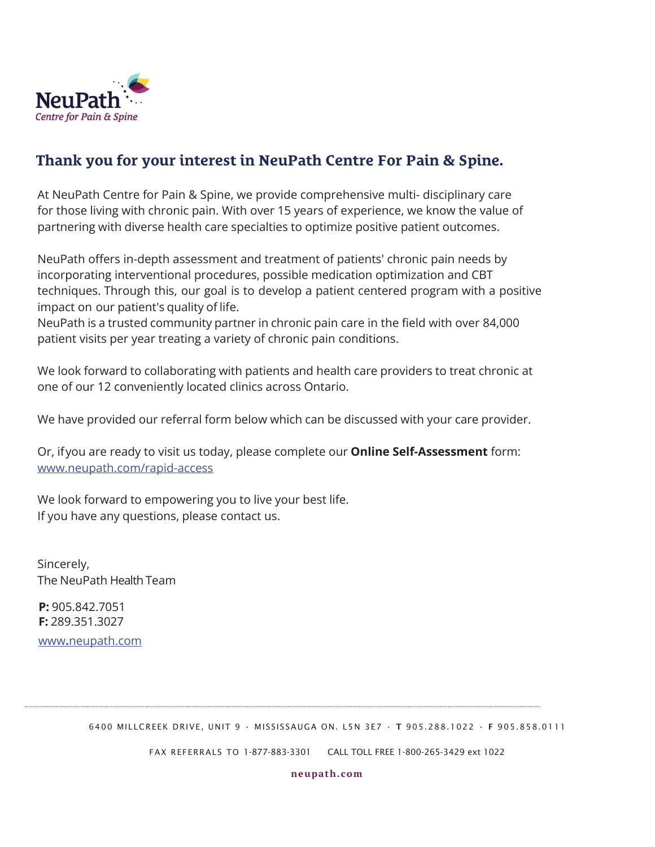

## **Thank you for your interest in NeuPath Centre For Pain & Spine.**

At NeuPath Centre for Pain & Spine, we provide comprehensive multi- disciplinary care for those living with chronic pain. With over 15 years of experience, we know the value of partnering with diverse health care specialties to optimize positive patient outcomes.

NeuPath offers in-depth assessment and treatment of patients' chronic pain needs by incorporating interventional procedures, possible medication optimization and CBT techniques. Through this, our goal is to develop a patient centered program with a positive impact on our patient's quality of life.

NeuPath is a trusted community partner in chronic pain care in the field with over 84,000 patient visits per year treating a variety of chronic pain conditions.

We look forward to collaborating with patients and health care providers to treat chronic at one of our 12 conveniently located clinics across Ontario.

We have provided our referral form below which can be discussed with your care provider.

Or, if you are ready to visit us today, please complete our **Online Self-Assessment** form: www.neupath.com/rapid-access

We look forward to empowering you to live your best life. If you have any questions, please contact us.

Sincerely, The NeuPath Health Team

**P:** 905.842.7051 **F:** 289.351.3027

www**.**neupath.com

6400 MILLCREEK DRIVE, UNIT 9 · MISSISSAUGA ON. L5N 3E7 · T 905.288.1022 · F 905.858.0111

FAX REFERRALS TO 1-877-883-3301 CALL TOLL FREE 1-800-265-3429 ext 1022

**neupath.com**